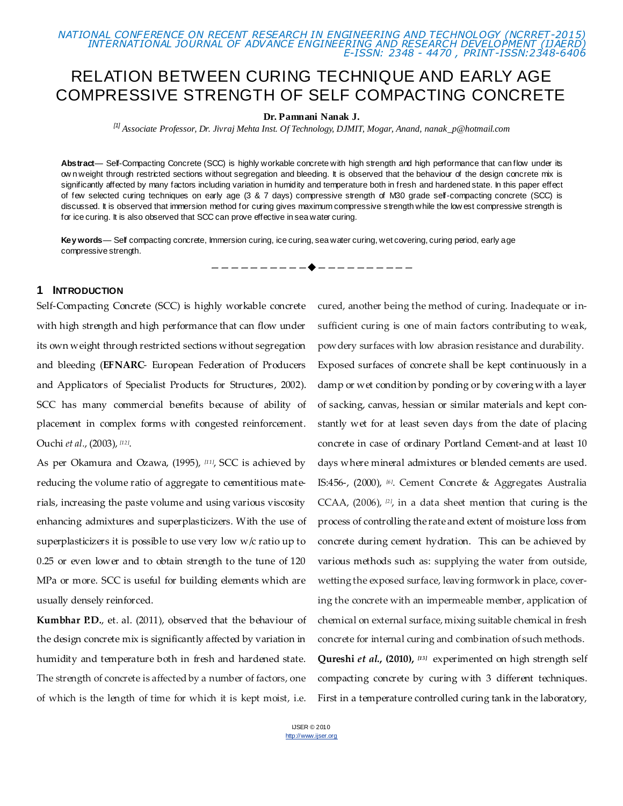*NATIONAL CONFERENCE ON RECENT RESEARCH IN ENGINEERING AND TECHNOLOGY (NCRRET-2015) INTERNATIONAL JOURNAL OF ADVANCE ENGINEERING AND RESEARCH DEVELOPMENT (IJAERD) E-ISSN: 2348 - 4470 , PRINT-ISSN:2348-6406*

# RELATION BETWEEN CURING TECHNIQUE AND EARLY AGE COMPRESSIVE STRENGTH OF SELF COMPACTING CONCRETE

#### **Dr. Pamnani Nanak J.**

*[1] Associate Professor, Dr. Jivraj Mehta Inst. Of Technology, DJMIT, Mogar, Anand, nanak\_p@hotmail.com*

**Abstract**— Self-Compacting Concrete (SCC) is highly workable concrete with high strength and high performance that can flow under its ow n weight through restricted sections without segregation and bleeding. It is observed that the behaviour of the design concrete mix is significantly affected by many factors including variation in humidity and temperature both in fresh and hardened state. In this paper effect of few selected curing techniques on early age (3 & 7 days) compressive strength of M30 grade self-compacting concrete (SCC) is discussed. It is observed that immersion method for curing gives maximum compressive strength while the low est compressive strength is for ice curing. It is also observed that SCC can prove effective in sea water curing.

————————<del>——</del>————————

**Key words**— Self compacting concrete, Immersion curing, ice curing, sea water curing, wet covering, curing period, early age compressive strength.

#### **1 INTRODUCTION**

with high strength and high performance that can flow under its own weight through restricted sections without segregation and bleeding (**EFNARC**- European Federation of Producers and Applicators of Specialist Products for Structures, 2002). SCC has many commercial benefits because of ability of placement in complex forms with congested reinforcement. Ouchi *et al.*[, \(2003\),](#page-5-0) *[12]* .

As per [Okamura and Ozawa, \(1995\),](#page-5-1) *[11]* , SCC is achieved by reducing the volume ratio of aggregate to cementitious materials, increasing the paste volume and using various viscosity enhancing admixtures and superplasticizers. With the use of superplasticizers it is possible to use very low w/c ratio up to 0.25 or even lower and to obtain strength to the tune of 120 MPa or more. SCC is useful for building elements which are usually densely reinforced.

**Kumbhar P.D***.*, et. al. (2011), observed that the behaviour of the design concrete mix is significantly affected by variation in humidity and temperature both in fresh and hardened state. The strength of concrete is affected by a number of factors, one of which is the length of time for which it is kept moist, i.e.

Self-Compacting Concrete (SCC) is highly workable concrete cured, another being the method of curing. Inadequate or insufficient curing is one of main factors contributing to weak, powdery surfaces with low abrasion resistance and durability. Exposed surfaces of concrete shall be kept continuously in a damp or wet condition by ponding or by covering with a layer of sacking, canvas, hessian or similar materials and kept constantly wet for at least seven days from the date of placing concrete in case of ordinary Portland Cement-and at least 10 days where mineral admixtures or blended cements are used. [IS:456-, \(2000\),](#page-5-2) *[6]* . Cement Concrete & Aggregates Australia [CCAA,](#page-5-3) (2006), *[2]* , in a data sheet mention that curing is the process of controlling the rate and extent of moisture loss from concrete during cement hydration. This can be achieved by various methods such as: supplying the water from outside, wetting the exposed surface, leaving formwork in place, covering the concrete with an impermeable member, application of chemical on external surface, mixing suitable chemical in fresh concrete for internal curing and combination of such methods. **Qureshi** *et al.***[, \(2010\),](#page-5-4)** *[13]* experimented on high strength self compacting concrete by curing with 3 different techniques. First in a temperature controlled curing tank in the laboratory,

> IJSER © 2010 http://www.ijser.org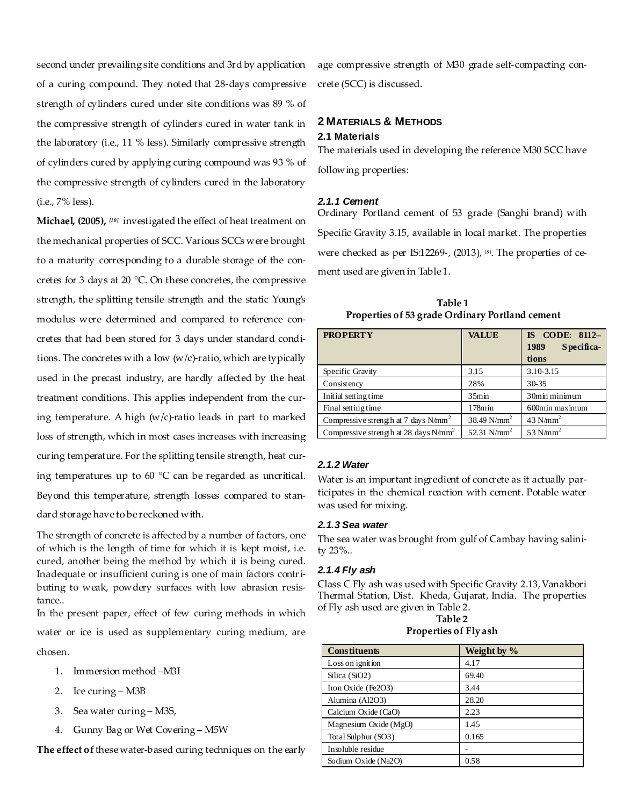second under prevailing site conditions and 3rd by application of a curing compound. They noted that 28-days compressive strength of cylinders cured under site conditions was 89 % of the compressive strength of cylinders cured in water tank in the laboratory (i.e., 11 % less). Similarly compressive strength of cylinders cured by applying curing compound was 93 % of the compressive strength of cylinders cured in the laboratory (i.e., 7% less).

**[Michael, \(2005\),](#page-5-5)** *[10]* investigated the effect of heat treatment on the mechanical properties of SCC. Various SCCs were brought to a maturity corresponding to a durable storage of the concretes for 3 days at 20 °C. On these concretes, the compressive strength, the splitting tensile strength and the static Young's modulus were determined and compared to reference concretes that had been stored for 3 days under standard conditions. The concretes with a low  $(w/c)$ -ratio, which are typically used in the precast industry, are hardly affected by the heat treatment conditions. This applies independent from the curing temperature. A high (w/c)-ratio leads in part to marked loss of strength, which in most cases increases with increasing curing temperature. For the splitting tensile strength, heat curing temperatures up to  $60 °C$  can be regarded as uncritical. Beyond this temperature, strength losses compared to standard storage have to be reckoned with.

The strength of concrete is affected by a number of factors, one of which is the length of time for which it is kept moist, i.e. cured, another being the method by which it is being cured. Inadequate or insufficient curing is one of main factors contributing to weak, powdery surfaces with low abrasion resistance..

In the present paper, effect of few curing methods in which water or ice is used as supplementary curing medium, are chosen.

- 1. Immersion method –M3I
- 2. Ice curing M3B
- 3. Sea water curing M3S,
- 4. Gunny Bag or Wet Covering M5W

**The effect of** these water-based curing techniques on the early

age compressive strength of M30 grade self-compacting concrete (SCC) is discussed.

## **2 MATERIALS & METHODS 2.1 Materials**

The materials used in developing the reference M30 SCC have following properties:

## *2.1.1 Cement*

Ordinary Portland cement of 53 grade (Sanghi brand) with Specific Gravity 3.15, available in local market. The properties were checked as per [IS:12269-, \(2013\),](#page-5-6) *[8]* . The properties of cement used are given in Table 1.

**Table 1 Properties of 53 grade Ordinary Portland cement**

| <b>PROPERTY</b>                                   | <b>VALUE</b>      | IS CODE: 8112-<br>1989<br>Specifica-<br>tions |
|---------------------------------------------------|-------------------|-----------------------------------------------|
| Specific Gravity                                  | 3.15              | 3.10-3.15                                     |
| Consistency                                       | 28%               | 30-35                                         |
| Initial setting time                              | 35 <sub>min</sub> | 30min minimum                                 |
| Final setting time                                | $178$ min         | 600min maximum                                |
| Compressive strength at 7 days $N/mm^2$           | 38.49 $N/mm^2$    | 43 $N/mm2$                                    |
| Compressive strength at 28 days N/mm <sup>2</sup> | 52.31 $N/mm^2$    | 53 $N/mm2$                                    |

## *2.1.2 Water*

Water is an important ingredient of concrete as it actually participates in the chemical reaction with cement. Potable water was used for mixing.

## *2.1.3 Sea water*

The sea water was brought from gulf of Cambay having salinity 23%..

## *2.1.4 Fly ash*

Class C Fly ash was used with Specific Gravity 2.13, Vanakbori Thermal Station, Dist. Kheda, Gujarat, India. The properties of Fly ash used are given in Table 2.

**Table 2 Properties of Fly ash**

| <b>Constituents</b>     | Weight by % |
|-------------------------|-------------|
| Loss on ignition        | 4.17        |
| Silica $(SiO2)$         | 69.40       |
| Iron Oxide (Fe2O3)      | 3.44        |
| Alumina (Al2O3)         | 28.20       |
| Calcium Oxide (CaO)     | 2.23        |
| Magnesium Oxide $(MgO)$ | 1.45        |
| Total Sulphur (SO3)     | 0.165       |
| Insoluble residue       |             |
| Sodium Oxide (Na2O)     | 0.58        |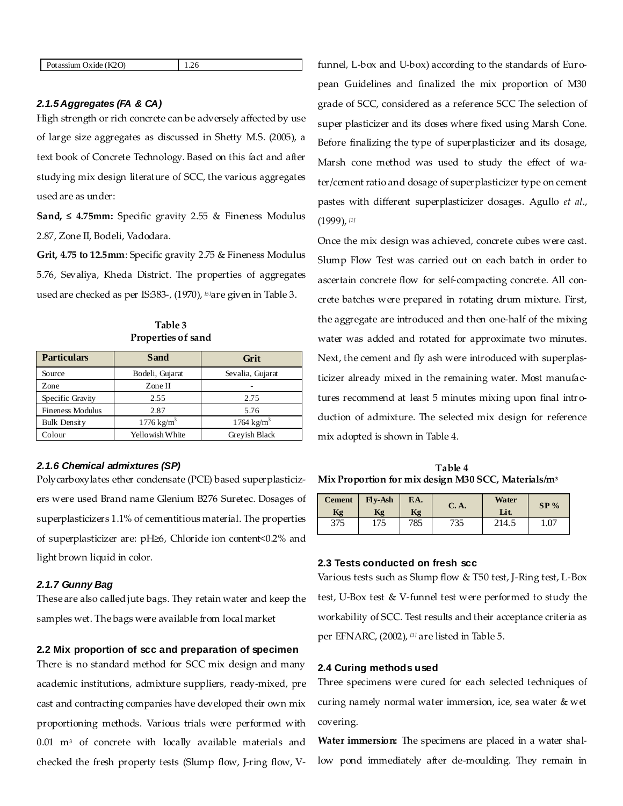| Potassium Oxide $(K2O)$ | 1.26 |
|-------------------------|------|
|-------------------------|------|

#### *2.1.5 Aggregates (FA & CA)*

High strength or rich concrete can be adversely affected by use of large size aggregates as discussed in Shetty M.S. (2005), a text book of Concrete Technology. Based on this fact and after studying mix design literature of SCC, the various aggregates used are as under:

**Sand, ≤ 4.75mm:** Specific gravity 2.55 & Fineness Modulus 2.87, Zone II, Bodeli, Vadodara.

**Grit, 4.75 to 12.5mm**: Specific gravity 2.75 & Fineness Modulus 5.76, Sevaliya, Kheda District. The properties of aggregates used are checked as per [IS:383-, \(1970\),](#page-5-7) *[5]*are given in Table 3.

| <b>Particulars</b>      | Sand                  | Grit                  |  |
|-------------------------|-----------------------|-----------------------|--|
| Source                  | Bodeli, Gujarat       | Sevalia, Gujarat      |  |
| Zone                    | Zone II               |                       |  |
| Specific Gravity        | 2.55                  | 2.75                  |  |
| <b>Fineness Modulus</b> | 2.87                  | 5.76                  |  |
| <b>Bulk Density</b>     | $1776 \text{ kg/m}^3$ | $1764 \text{ kg/m}^3$ |  |
| Colour                  | Yellowish White       | Greyish Black         |  |

**Table 3 Properties of sand**

#### *2.1.6 Chemical admixtures (SP)*

Polycarboxylates ether condensate (PCE) based superplasticizers were used Brand name Glenium B276 Suretec. Dosages of superplasticizers 1.1% of cementitious material. The properties of superplasticizer are: pH≥6, Chloride ion content<0.2% and light brown liquid in color.

#### *2.1.7 Gunny Bag*

These are also called jute bags. They retain water and keep the samples wet. The bags were available from local market

#### **2.2 Mix proportion of scc and preparation of specimen**

There is no standard method for SCC mix design and many academic institutions, admixture suppliers, ready-mixed, pre cast and contracting companies have developed their own mix proportioning methods. Various trials were performed with 0.01 m<sup>3</sup> of concrete with locally available materials and checked the fresh property tests (Slump flow, J-ring flow, V- funnel, L-box and U-box) according to the standards of European Guidelines and finalized the mix proportion of M30 grade of SCC, considered as a reference SCC The selection of super plasticizer and its doses where fixed using Marsh Cone. Before finalizing the type of superplasticizer and its dosage, Marsh cone method was used to study the effect of water/cement ratio and dosage of superplasticizer type on cement pastes with different superplasticizer dosages. [Agullo](#page-5-8) *et al.*, [\(1999\),](#page-5-8) *[1]*

Once the mix design was achieved, concrete cubes were cast. Slump Flow Test was carried out on each batch in order to ascertain concrete flow for self-compacting concrete. All concrete batches were prepared in rotating drum mixture. First, the aggregate are introduced and then one-half of the mixing water was added and rotated for approximate two minutes. Next, the cement and fly ash were introduced with superplasticizer already mixed in the remaining water. Most manufactures recommend at least 5 minutes mixing upon final introduction of admixture. The selected mix design for reference mix adopted is shown in Table 4.

**Table 4 Mix Proportion for mix design M30 SCC, Materials/m<sup>3</sup>**

| <b>Cement</b><br>Kg | Fly-Ash<br>Κg | F.A.<br>Kg | <b>C.A.</b> | Water<br>Lit. | $SP\%$ |
|---------------------|---------------|------------|-------------|---------------|--------|
| 375                 | 175           | 785        | 735         | 214.5         | 1.07   |

#### **2.3 Tests conducted on fresh scc**

Various tests such as Slump flow & T50 test, J-Ring test, L-Box test, U-Box test & V-funnel test were performed to study the workability of SCC. Test results and their acceptance criteria as pe[r EFNARC, \(2002\),](#page-5-9) *[3]* are listed in Table 5.

#### **2.4 Curing methods used**

Three specimens were cured for each selected techniques of curing namely normal water immersion, ice, sea water & wet covering.

**Water immersion:** The specimens are placed in a water shallow pond immediately after de-moulding. They remain in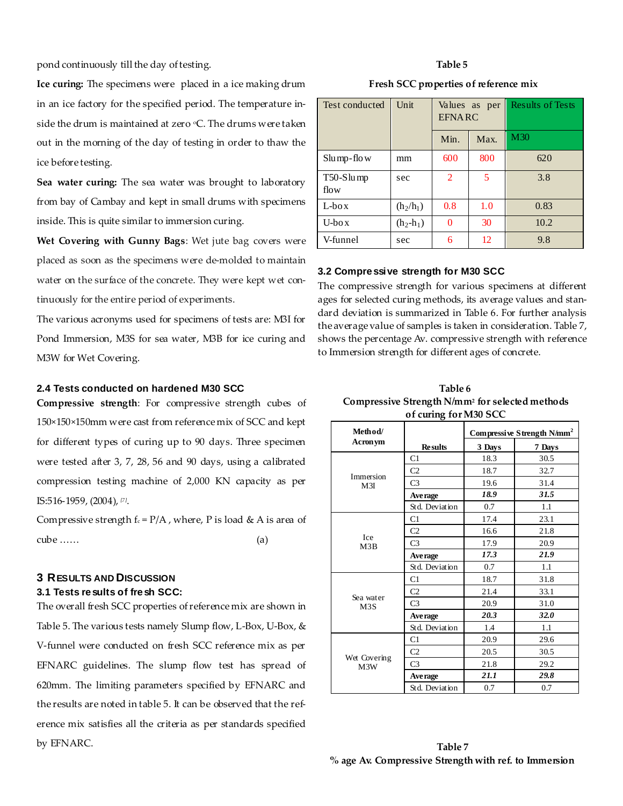pond continuously till the day of testing.

# **Ice curing:** The specimens were placed in a ice making drum in an ice factory for the specified period. The temperature inside the drum is maintained at zero  $\mathrm{C}$ . The drums were taken out in the morning of the day of testing in order to thaw the ice before testing.

**Sea water curing:** The sea water was brought to laboratory from bay of Cambay and kept in small drums with specimens inside. This is quite similar to immersion curing.

**Wet Covering with Gunny Bags**: Wet jute bag covers were placed as soon as the specimens were de-molded to maintain water on the surface of the concrete. They were kept wet continuously for the entire period of experiments.

The various acronyms used for specimens of tests are: M3I for Pond Immersion, M3S for sea water, M3B for ice curing and M3W for Wet Covering.

#### **2.4 Tests conducted on hardened M30 SCC**

**Compressive strength**: For compressive strength cubes of 150×150×150mm were cast from reference mix of SCC and kept for different types of curing up to 90 days. Three specimen were tested after 3, 7, 28, 56 and 90 days, using a calibrated compression testing machine of 2,000 KN capacity as per [IS:516-1959, \(2004\),](#page-5-10) *[7]* .

Compressive strength  $f_c = P/A$ , where, P is load & A is area of cube …… (a)

#### **3 RESULTS AND DISCUSSION**

#### **3.1 Tests results of fresh SCC:**

The overall fresh SCC properties of reference mix are shown in Table 5. The various tests namely Slump flow, L-Box, U-Box, & V-funnel were conducted on fresh SCC reference mix as per EFNARC guidelines. The slump flow test has spread of 620mm. The limiting parameters specified by EFNARC and the results are noted in table 5. It can be observed that the reference mix satisfies all the criteria as per standards specified by EFNARC.

#### **Table 5**

#### **Fresh SCC properties of reference mix**

| Test conducted                       | Unit        | Values as per<br><b>EFNARC</b> |      | <b>Results of Tests</b> |
|--------------------------------------|-------------|--------------------------------|------|-------------------------|
|                                      |             | Min.                           | Max. | M30                     |
| $Slu$ mp-flow                        | mm          | 600                            | 800  | 620                     |
| $T50-S \, \mathrm{lu \, mp}$<br>flow | sec         | 2                              | 5    | 3.8                     |
| $L$ -box                             | $(h_2/h_1)$ | 0.8                            | 1.0  | 0.83                    |
| $U$ -box                             | $(h_2-h_1)$ | 0                              | 30   | 10.2                    |
| V-funnel                             | sec         | 6                              | 12   | 9.8                     |

### **3.2 Compressive strength for M30 SCC**

The compressive strength for various specimens at different ages for selected curing methods, its average values and standard deviation is summarized in Table 6. For further analysis the average value of samples is taken in consideration. Table 7, shows the percentage Av. compressive strength with reference to Immersion strength for different ages of concrete.

## **Table 6 Compressive Strength N/mm<sup>2</sup> for selected methods of curing for M30 SCC**

| Method/                       |                | Compressive Strength N/mm <sup>2</sup> |        |  |
|-------------------------------|----------------|----------------------------------------|--------|--|
| Acron ym                      | <b>Results</b> | 3 Days                                 | 7 Days |  |
| Immersion<br>M <sub>3I</sub>  | C1             | 18.3                                   | 30.5   |  |
|                               | C <sub>2</sub> | 18.7                                   | 32.7   |  |
|                               | C <sub>3</sub> | 19.6                                   | 31.4   |  |
|                               | Ave rage       | 18.9                                   | 31.5   |  |
|                               | Std. Deviation | 0.7                                    | 1.1    |  |
|                               | C1             | 17.4                                   | 23.1   |  |
|                               | C <sub>2</sub> | 16.6                                   | 21.8   |  |
| <b>Ice</b><br>M3B             | C <sub>3</sub> | 17.9                                   | 20.9   |  |
|                               | Ave rage       | 17.3                                   | 21.9   |  |
|                               | Std. Deviation | 0.7                                    | 1.1    |  |
| Sea water<br>M <sub>3</sub> S | C1             | 18.7                                   | 31.8   |  |
|                               | C <sub>2</sub> | 21.4                                   | 33.1   |  |
|                               | C <sub>3</sub> | 20.9                                   | 31.0   |  |
|                               | <b>Average</b> | 20.3                                   | 32.0   |  |
|                               | Std. Deviation | 1.4                                    | 1.1    |  |
| Wet Covering<br>M3W           | C1             | 20.9                                   | 29.6   |  |
|                               | C <sub>2</sub> | 20.5                                   | 30.5   |  |
|                               | C <sub>3</sub> | 21.8                                   | 29.2   |  |
|                               | Ave rage       | 21.1                                   | 29.8   |  |
|                               | Std. Deviation | 0.7                                    | 0.7    |  |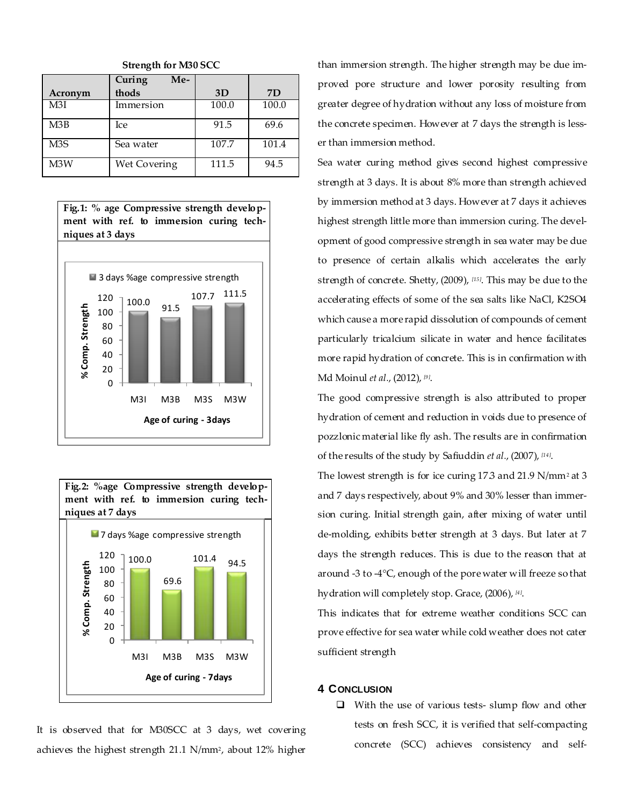|                  | Curing<br>Me- |       |       |
|------------------|---------------|-------|-------|
| Acronym          | thods         | 3D    | 7D    |
| M3I              | Immersion     | 100.0 | 100.0 |
| M3B              | Ice           | 91.5  | 69.6  |
| M <sub>3</sub> S | Sea water     | 107.7 | 101.4 |
| M <sub>3</sub> W | Wet Covering  | 111.5 | 94.5  |

**Strength for M30 SCC**

**Fig.1: % age Compressive strength development with ref. to immersion curing techniques at 3 days**





It is observed that for M30SCC at 3 days, wet covering achieves the highest strength 21.1 N/mm<sup>2</sup> , about 12% higher than immersion strength. The higher strength may be due improved pore structure and lower porosity resulting from greater degree of hydration without any loss of moisture from the concrete specimen. However at 7 days the strength is lesser than immersion method.

Sea water curing method gives second highest compressive strength at 3 days. It is about 8% more than strength achieved by immersion method at 3 days. However at 7 days it achieves highest strength little more than immersion curing. The development of good compressive strength in sea water may be due to presence of certain alkalis which accelerates the early strength of concrete[. Shetty, \(2009\),](#page-5-11) *[15]* . This may be due to the accelerating effects of some of the sea salts like NaCl, K2SO4 which cause a more rapid dissolution of compounds of cement particularly tricalcium silicate in water and hence facilitates more rapid hydration of concrete. This is in confirmation with [Md Moinul](#page-5-12) *et al.*, (2012), *[9]* .

The good compressive strength is also attributed to proper hydration of cement and reduction in voids due to presence of pozzlonic material like fly ash. The results are in confirmation of the results of the study b[y Safiuddin](#page-5-13) *et al.*, (2007), *[14]* .

The lowest strength is for ice curing 17.3 and 21.9 N/mm<sup>2</sup> at 3 and 7 days respectively, about 9% and 30% lesser than immersion curing. Initial strength gain, after mixing of water until de-molding, exhibits better strength at 3 days. But later at 7 days the strength reduces. This is due to the reason that at around -3 to -4°C, enough of the pore water will freeze so that hydration will completely stop[. Grace, \(2006\),](#page-5-14) *[4]* .

This indicates that for extreme weather conditions SCC can prove effective for sea water while cold weather does not cater sufficient strength

## **4 CONCLUSION**

 $\Box$  With the use of various tests- slump flow and other tests on fresh SCC, it is verified that self-compacting concrete (SCC) achieves consistency and self